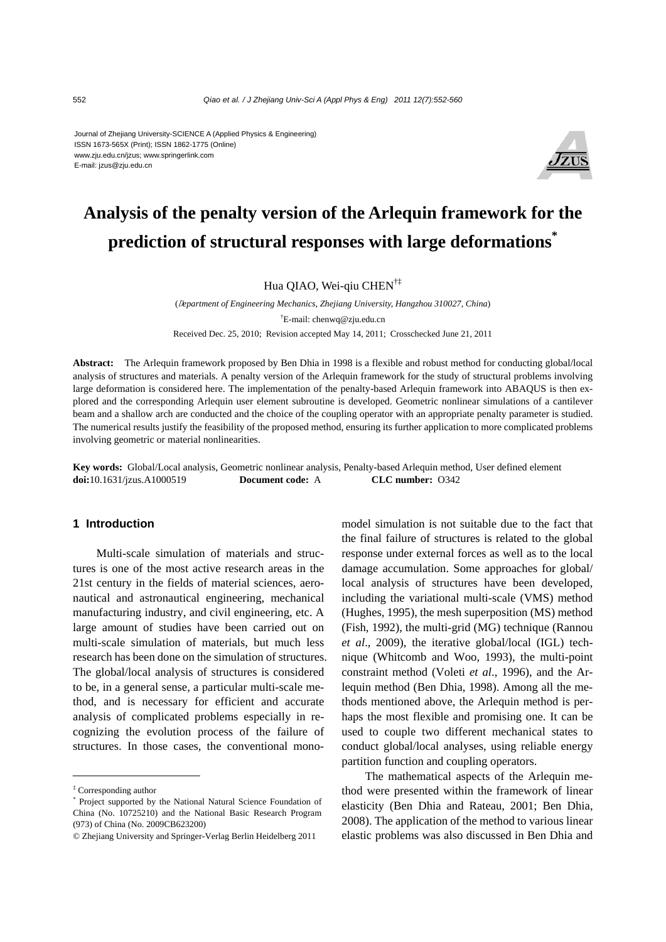#### Journal of Zhejiang University-SCIENCE A (Applied Physics & Engineering) ISSN 1673-565X (Print); ISSN 1862-1775 (Online) www.zju.edu.cn/jzus; www.springerlink.com E-mail: jzus@zju.edu.cn



## **Analysis of the penalty version of the Arlequin framework for the prediction of structural responses with large deformations\***

Hua QIAO, Wei-qiu CHEN<sup>†‡</sup>

(D*epartment of Engineering Mechanics, Zhejiang University, Hangzhou 310027, China*) † E-mail: chenwq@zju.edu.cn Received Dec. 25, 2010; Revision accepted May 14, 2011; Crosschecked June 21, 2011

**Abstract:** The Arlequin framework proposed by Ben Dhia in 1998 is a flexible and robust method for conducting global/local analysis of structures and materials. A penalty version of the Arlequin framework for the study of structural problems involving large deformation is considered here. The implementation of the penalty-based Arlequin framework into ABAQUS is then explored and the corresponding Arlequin user element subroutine is developed. Geometric nonlinear simulations of a cantilever beam and a shallow arch are conducted and the choice of the coupling operator with an appropriate penalty parameter is studied. The numerical results justify the feasibility of the proposed method, ensuring its further application to more complicated problems involving geometric or material nonlinearities.

**Key words:** Global/Local analysis, Geometric nonlinear analysis, Penalty-based Arlequin method, User defined element **doi:**10.1631/jzus.A1000519 **Document code:** A **CLC number:** O342

### **1 Introduction**

Multi-scale simulation of materials and structures is one of the most active research areas in the 21st century in the fields of material sciences, aeronautical and astronautical engineering, mechanical manufacturing industry, and civil engineering, etc. A large amount of studies have been carried out on multi-scale simulation of materials, but much less research has been done on the simulation of structures. The global/local analysis of structures is considered to be, in a general sense, a particular multi-scale method, and is necessary for efficient and accurate analysis of complicated problems especially in recognizing the evolution process of the failure of structures. In those cases, the conventional monomodel simulation is not suitable due to the fact that the final failure of structures is related to the global response under external forces as well as to the local damage accumulation. Some approaches for global/ local analysis of structures have been developed, including the variational multi-scale (VMS) method (Hughes, 1995), the mesh superposition (MS) method (Fish, 1992), the multi-grid (MG) technique (Rannou *et al*., 2009), the iterative global/local (IGL) technique (Whitcomb and Woo, 1993), the multi-point constraint method (Voleti *et al*., 1996), and the Arlequin method (Ben Dhia, 1998). Among all the methods mentioned above, the Arlequin method is perhaps the most flexible and promising one. It can be used to couple two different mechanical states to conduct global/local analyses, using reliable energy partition function and coupling operators.

The mathematical aspects of the Arlequin method were presented within the framework of linear elasticity (Ben Dhia and Rateau, 2001; Ben Dhia, 2008). The application of the method to various linear elastic problems was also discussed in Ben Dhia and

<sup>‡</sup> Corresponding author

<sup>\*</sup> Project supported by the National Natural Science Foundation of China (No. 10725210) and the National Basic Research Program (973) of China (No. 2009CB623200)

<sup>©</sup> Zhejiang University and Springer-Verlag Berlin Heidelberg 2011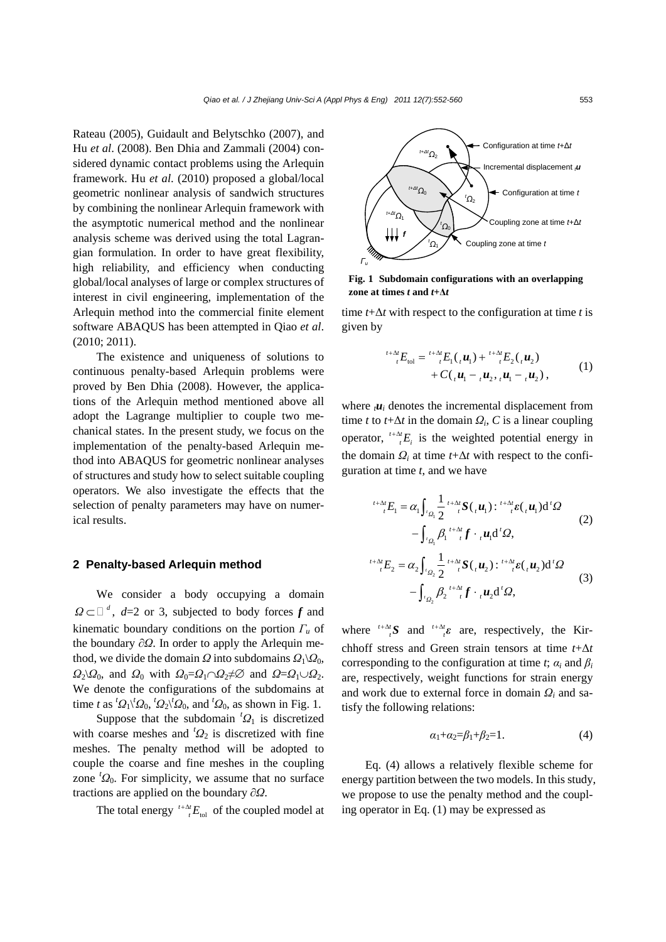Rateau (2005), Guidault and Belytschko (2007), and Hu *et al*. (2008). Ben Dhia and Zammali (2004) considered dynamic contact problems using the Arlequin framework. Hu *et al*. (2010) proposed a global/local geometric nonlinear analysis of sandwich structures by combining the nonlinear Arlequin framework with the asymptotic numerical method and the nonlinear analysis scheme was derived using the total Lagrangian formulation. In order to have great flexibility, high reliability, and efficiency when conducting global/local analyses of large or complex structures of interest in civil engineering, implementation of the Arlequin method into the commercial finite element software ABAQUS has been attempted in Qiao *et al*. (2010; 2011).

The existence and uniqueness of solutions to continuous penalty-based Arlequin problems were proved by Ben Dhia (2008). However, the applications of the Arlequin method mentioned above all adopt the Lagrange multiplier to couple two mechanical states. In the present study, we focus on the implementation of the penalty-based Arlequin method into ABAQUS for geometric nonlinear analyses of structures and study how to select suitable coupling operators. We also investigate the effects that the selection of penalty parameters may have on numerical results.

#### **2 Penalty-based Arlequin method**

We consider a body occupying a domain  $\Omega \subset \mathbb{Z}^d$ , *d*=2 or 3, subjected to body forces *f* and kinematic boundary conditions on the portion *Γu* of the boundary ∂*Ω*. In order to apply the Arlequin method, we divide the domain *Ω* into subdomains  $Q_1\Q_0$ , *Ω*<sub>2</sub>\*Ω*<sub>0</sub>, and *Ω*<sub>0</sub> with *Ω*<sub>0</sub>=*Ω*<sub>1</sub>∩*Ω*<sub>2</sub>≠⊘ and *Ω*=*Ω*<sub>1</sub>∪*Ω*<sub>2</sub>. We denote the configurations of the subdomains at time *t* as  ${}^{t}Q_1$ <sup>*t*</sup> $Q_0$ ,  ${}^{t}Q_2$ <sup>*t*</sup> $Q_0$ , and  ${}^{t}Q_0$ , as shown in Fig. 1.

Suppose that the subdomain  ${}^{t}Q_1$  is discretized with coarse meshes and  ${}^{t}Q_2$  is discretized with fine meshes. The penalty method will be adopted to couple the coarse and fine meshes in the coupling zone  ${}^{t}Q_0$ . For simplicity, we assume that no surface tractions are applied on the boundary ∂*Ω*.

The total energy  ${}^{t+\Delta t}E_{\text{tol}}$  of the coupled model at



**Fig. 1 Subdomain configurations with an overlapping zone at times** *t* **and** *t***+Δ***t*

time *t*+Δ*t* with respect to the configuration at time *t* is given by

$$
{}^{t+\Delta t}F_{\text{tol}} = {}^{t+\Delta t}F_1(.,\boldsymbol{u}_1) + {}^{t+\Delta t}F_2(.,\boldsymbol{u}_2) + C(.,\boldsymbol{u}_1 -.,\boldsymbol{u}_2,.,\boldsymbol{u}_1 -.,\boldsymbol{u}_2),
$$
 (1)

where  $\mu_i$  denotes the incremental displacement from time *t* to  $t + \Delta t$  in the domain  $Q_i$ , *C* is a linear coupling operator,  $\frac{t + \Delta t}{t} E_i$  is the weighted potential energy in the domain  $Q_i$  at time  $t + \Delta t$  with respect to the configuration at time *t*, and we have

$$
{}^{t+\Delta t}{}_{t}E_{1} = \alpha_{1} \int_{\alpha_{1}} \frac{1}{2} {}^{t+\Delta t}S(_{t}u_{1}) : {}^{t+\Delta t}{}_{t} \varepsilon(_{t}u_{1}) d^{t} \Omega
$$
  
\n
$$
- \int_{\alpha_{1}} \beta_{1} {}^{t+\Delta t}{}_{t} f \cdot {}_{t}u_{1} d^{t} \Omega,
$$
  
\n
$$
{}^{t+\Delta t}{}_{t}E_{2} = \alpha_{2} \int_{\alpha_{2}} \frac{1}{2} {}^{t+\Delta t}S(_{t}u_{2}) : {}^{t+\Delta t}{}_{t} \varepsilon(_{t}u_{2}) d^{t} \Omega
$$
  
\n
$$
- \int_{\alpha_{2}} \beta_{2} {}^{t+\Delta t}{}_{t} f \cdot {}_{t}u_{2} d^{t} \Omega,
$$
  
\n(3)

where  $\int_{t}^{t+\Delta t} S$  and  $\int_{t}^{t+\Delta t} \varepsilon$  are, respectively, the Kirchhoff stress and Green strain tensors at time *t*+Δ*t* corresponding to the configuration at time *t*;  $\alpha_i$  and  $\beta_i$ are, respectively, weight functions for strain energy and work due to external force in domain *Ωi* and satisfy the following relations:

$$
\alpha_1 + \alpha_2 = \beta_1 + \beta_2 = 1. \tag{4}
$$

Eq. (4) allows a relatively flexible scheme for energy partition between the two models. In this study, we propose to use the penalty method and the coupling operator in Eq. (1) may be expressed as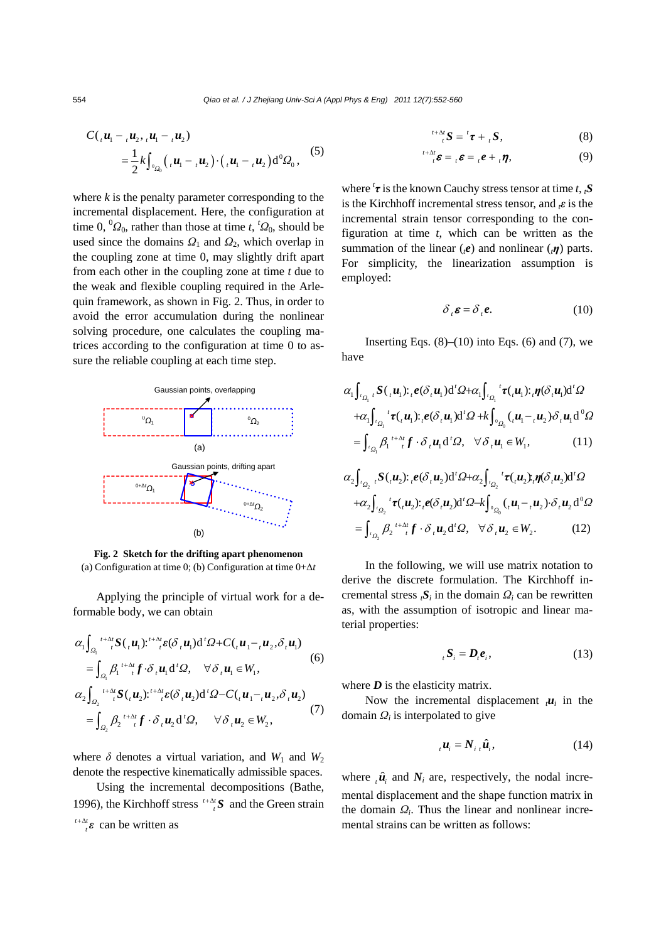554 *Qiao et al. / J Zhejiang Univ-Sci A (Appl Phys & Eng) 2011 12(7):552-560*

$$
C({}_1\boldsymbol{u}_1 - {}_{t}\boldsymbol{u}_2, {}_{t}\boldsymbol{u}_1 - {}_{t}\boldsymbol{u}_2)
$$
  
=  $\frac{1}{2}k\int_{{}^{0}Q_0} ({}_{t}\boldsymbol{u}_1 - {}_{t}\boldsymbol{u}_2) \cdot ({}_{t}\boldsymbol{u}_1 - {}_{t}\boldsymbol{u}_2) d{}^{0}Q_0,$  (5)

where  $k$  is the penalty parameter corresponding to the incremental displacement. Here, the configuration at time 0,  ${}^{0}Q_0$ , rather than those at time *t*,  ${}^{t}Q_0$ , should be used since the domains  $Q_1$  and  $Q_2$ , which overlap in the coupling zone at time 0, may slightly drift apart from each other in the coupling zone at time *t* due to the weak and flexible coupling required in the Arlequin framework, as shown in Fig. 2. Thus, in order to avoid the error accumulation during the nonlinear solving procedure, one calculates the coupling matrices according to the configuration at time 0 to assure the reliable coupling at each time step.



**Fig. 2 Sketch for the drifting apart phenomenon**  (a) Configuration at time 0; (b) Configuration at time 0+Δ*t*

Applying the principle of virtual work for a deformable body, we can obtain

$$
\alpha_1 \int_{\Omega_1} t^{+\Delta t} S(\mu_1) t^{t+\Delta t} \varepsilon(\delta, u_1) d^t \Omega + C(\mu_1 - \mu_2, \delta, u_1)
$$
\n
$$
= \int_{\Omega_1} \beta_1 t^{+\Delta t} f \cdot \delta \mu_1 d^t \Omega, \quad \forall \delta, u_1 \in W_1,
$$
\n
$$
\alpha_2 \int_{\Omega_2} t^{+\Delta t} S(\mu_2) t^{t+\Delta t} \varepsilon(\delta, u_2) d^t \Omega - C(\mu_1 - \mu_2, \delta, u_2)
$$
\n
$$
= \int_{\Omega_2} \beta_2 t^{+\Delta t} f \cdot \delta \mu_2 d^t \Omega, \quad \forall \delta, u_2 \in W_2,
$$
\n(7)

where  $\delta$  denotes a virtual variation, and  $W_1$  and  $W_2$ denote the respective kinematically admissible spaces.

Using the incremental decompositions (Bathe, 1996), the Kirchhoff stress  $\int_{t}^{t+\Delta t} S$  and the Green strain  $t + \Delta t$ 

$$
\int_{t}^{+\Delta t} \varepsilon \, \text{ can be written as}
$$

$$
{}^{t+\Delta t}_{t} S = {}^{t} \tau + {}_{t} S, \qquad (8)
$$

$$
\sum_{i=1}^{t+\Delta t} \boldsymbol{\varepsilon} = {}_{t} \boldsymbol{\varepsilon} + {}_{t} \boldsymbol{\eta}, \qquad (9)
$$

where *<sup>t</sup> τ* is the known Cauchy stress tensor at time *t*, *tS* is the Kirchhoff incremental stress tensor, and *tε* is the incremental strain tensor corresponding to the configuration at time *t*, which can be written as the summation of the linear (*te*) and nonlinear (*tη*) parts. For simplicity, the linearization assumption is employed:

$$
\delta_{t} \boldsymbol{\varepsilon} = \delta_{t} \boldsymbol{e}.
$$
 (10)

Inserting Eqs.  $(8)$ – $(10)$  into Eqs.  $(6)$  and  $(7)$ , we have

$$
\alpha_1 \int_{\alpha_1} S(\mu_1) :_{\iota} e(\delta_{\iota} u_1) d' \Omega + \alpha_1 \int_{\alpha_1} {}^t \tau(\mu_1) :_{\iota} \eta(\delta_{\iota} u_1) d' \Omega
$$
  
+
$$
\alpha_1 \int_{\alpha_1} {}^t \tau(\iota u_1) :_{\iota} e(\delta_{\iota} u_1) d' \Omega + k \int_{\alpha_0} (u_1 - \iota u_2) \delta_{\iota} u_1 d^0 \Omega
$$
  
= 
$$
\int_{\alpha_1} \beta_1 {}^{t+\Delta t} f \cdot \delta_{\iota} u_1 d' \Omega, \quad \forall \delta_{\iota} u_1 \in W_1,
$$
 (11)

$$
\alpha_2 \int_{\alpha_2} \int_{\alpha_2} S(\mu_2) : \rho(\delta_\tau u_2) d^{\prime} \Omega + \alpha_2 \int_{\alpha_2} {}^{t} \tau(\mu_2) : \eta(\delta_\tau u_2) d^{\prime} \Omega
$$
  
+
$$
\alpha_2 \int_{\alpha_2} {}^{t} \tau(\mu_2) : \rho(\delta_\tau u_2) d^{\prime} \Omega - k \int_{\alpha_2} ({}_{t} u_1 - {}_{t} u_2) \cdot \delta_\tau u_2 d^{\prime} \Omega
$$
  
=
$$
\int_{\alpha_2} \beta_2 {}^{t+\Delta t} {}_{t} f \cdot \delta_\tau u_2 d^{\prime} \Omega, \quad \forall \delta_\tau u_2 \in W_2.
$$
 (12)

In the following, we will use matrix notation to derive the discrete formulation. The Kirchhoff incremental stress  $\iota$ *S<sub>i</sub>* in the domain  $\Omega$ *i* can be rewritten as, with the assumption of isotropic and linear material properties:

$$
{}_{t}S_{i}=D_{t}e_{i}, \qquad (13)
$$

where  $D$  is the elasticity matrix.

Now the incremental displacement  $\mu_i$  in the domain *Ωi* is interpolated to give

$$
{}_{i}\boldsymbol{u}_{i}=N_{i}{}_{i}\hat{\boldsymbol{u}}_{i},\qquad(14)
$$

where  $\hat{u}_i$  and  $N_i$  are, respectively, the nodal incremental displacement and the shape function matrix in the domain *Ωi*. Thus the linear and nonlinear incremental strains can be written as follows: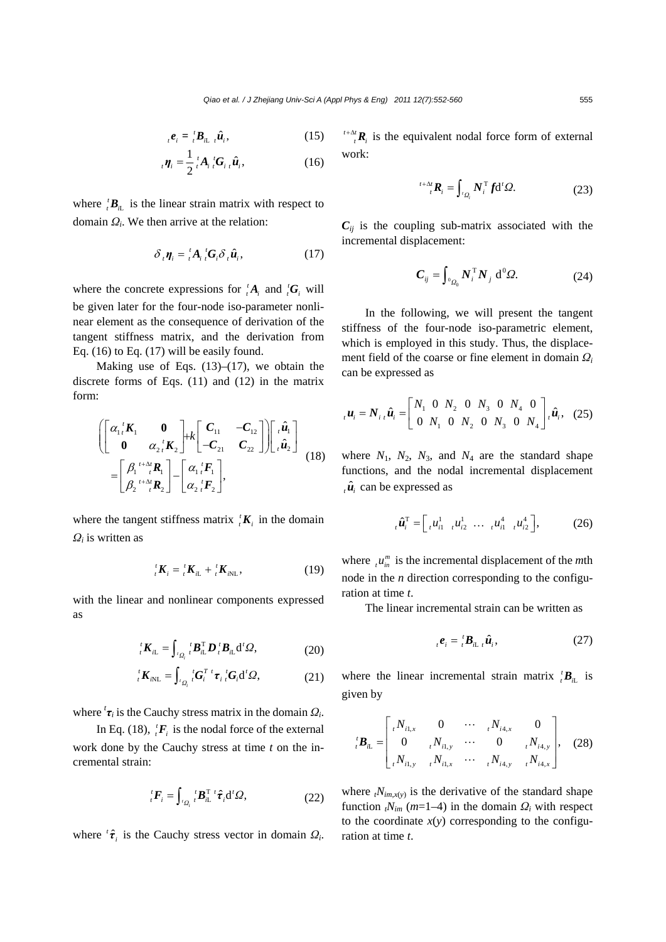$$
{}_{t}\boldsymbol{e}_{i} = {}_{t}^{t}\boldsymbol{B}_{i\mathbf{L}} {}_{t}\hat{\boldsymbol{u}}_{i}, \qquad (15)
$$

$$
\boldsymbol{\eta}_i = \frac{1}{2} \, \frac{1}{i} A_i \, \frac{1}{i} \mathbf{G}_i \, \hat{\boldsymbol{u}}_i,\tag{16}
$$

where  ${}_{i}^{t}$ *B*<sub>*n*</sub> is the linear strain matrix with respect to domain *Ωi*. We then arrive at the relation:

$$
\delta_{i} \eta_{i} = {}_{t}^{t} A_{i} {}_{t}^{t} G_{i} \delta_{i} \hat{u}_{i}, \qquad (17)
$$

where the concrete expressions for  ${}_{i}^{t}A_{i}$  and  ${}_{i}^{t}G_{i}$  will be given later for the four-node iso-parameter nonlinear element as the consequence of derivation of the tangent stiffness matrix, and the derivation from Eq.  $(16)$  to Eq.  $(17)$  will be easily found.

Making use of Eqs.  $(13)$ – $(17)$ , we obtain the discrete forms of Eqs. (11) and (12) in the matrix form:

$$
\begin{aligned}\n&\left[\begin{bmatrix} \alpha_1 \,^t \mathbf{K}_1 & \mathbf{0} \\
\mathbf{0} & \alpha_2 \,^t \mathbf{K}_2 \end{bmatrix} + k \begin{bmatrix} \mathbf{C}_{11} & -\mathbf{C}_{12} \\
-\mathbf{C}_{21} & \mathbf{C}_{22} \end{bmatrix} \right] \begin{bmatrix} \,^t \hat{\mathbf{u}}_1 \\
^t \hat{\mathbf{u}}_2 \end{bmatrix} \\
&= \begin{bmatrix} \beta_1^{t+\Delta t} \mathbf{R}_1 \\
\beta_2^{t+\Delta t} \mathbf{R}_2 \end{bmatrix} - \begin{bmatrix} \alpha_1 \,^t \mathbf{F}_1 \\
\alpha_2 \,^t \mathbf{F}_2 \end{bmatrix},\n\end{aligned} \tag{18}
$$

where the tangent stiffness matrix  ${}_{i}^{t}K_{i}$  in the domain *Ωi* is written as

$$
{}_{t}^{t} \boldsymbol{K}_{i} = {}_{t}^{t} \boldsymbol{K}_{i\mathcal{L}} + {}_{t}^{t} \boldsymbol{K}_{i\mathcal{N}\mathcal{L}}, \qquad (19)
$$

with the linear and nonlinear components expressed as

$$
{}_{t}^{t} \bm{K}_{i\mathcal{L}} = \int_{{}_{t}^{t} Q_{i}} {}_{t}^{t} \bm{B}_{i\mathcal{L}}^{T} \bm{D}_{t} {}_{t}^{t} \bm{B}_{i\mathcal{L}} d^{t} \bm{\Omega}, \qquad (20)
$$

$$
{}^{t}_{i}\bm{K}_{i\text{NL}} = \int_{{}^{t}\Omega_{i}} {}^{t}\bm{G}_{i}^{T} {}^{t}\bm{\tau}_{i} {}^{t}\bm{G}_{i} d{}^{t}\Omega, \qquad (21)
$$

where  ${}^{t}\tau_i$  is the Cauchy stress matrix in the domain  $\Omega_i$ .

In Eq. (18),  ${}_{i}^{t}F_{i}$  is the nodal force of the external work done by the Cauchy stress at time *t* on the incremental strain:

$$
{}_{i}^{t}F_{i}=\int_{{}_{i}\mathcal{Q}_{i}} {}_{i}^{t}B_{i\mathsf{L}}^{T} {}^{t}\hat{\boldsymbol{\tau}}_{i}\mathrm{d}^{t}\Omega,
$$
\n(22)

where  ${}^{t}\hat{\tau}_{i}$  is the Cauchy stress vector in domain  $\Omega_{i}$ .

 $t + \Delta t$ <sub>*t*</sub>**R**<sub>i</sub> is the equivalent nodal force form of external work:

$$
{}^{t+\Delta t}_{t} \boldsymbol{R}_{i} = \int_{{}^{t}Q_{i}} N_{i}^{\mathrm{T}} f \mathrm{d}^{t} \Omega. \tag{23}
$$

 $C_{ij}$  is the coupling sub-matrix associated with the incremental displacement:

$$
\boldsymbol{C}_{ij} = \int_{^0\Omega_0} \boldsymbol{N}_i^{\mathrm{T}} \boldsymbol{N}_j \; \mathbf{d}^0 \boldsymbol{\Omega}. \tag{24}
$$

In the following, we will present the tangent stiffness of the four-node iso-parametric element, which is employed in this study. Thus, the displacement field of the coarse or fine element in domain *Ω<sup>i</sup>* can be expressed as

$$
{}_{i}\boldsymbol{u}_{i} = \boldsymbol{N}_{i}{}_{i}\hat{\boldsymbol{u}}_{i} = \begin{bmatrix} N_{1} & 0 & N_{2} & 0 & N_{3} & 0 & N_{4} & 0 \\ 0 & N_{1} & 0 & N_{2} & 0 & N_{3} & 0 & N_{4} \end{bmatrix}{}_{i}\hat{\boldsymbol{u}}_{i}, \quad (25)
$$

where  $N_1$ ,  $N_2$ ,  $N_3$ , and  $N_4$  are the standard shape functions, and the nodal incremental displacement  $\hat{u}$  can be expressed as

$$
{}_{t}\hat{\boldsymbol{u}}_{i}^{\mathrm{T}} = \begin{bmatrix} u_{i1}^{1} & u_{i2}^{1} & \cdots & u_{i1}^{4} & u_{i2}^{4} \end{bmatrix}, \qquad (26)
$$

where  $\mu_{in}^m$  is the incremental displacement of the *m*th node in the *n* direction corresponding to the configuration at time *t*.

The linear incremental strain can be written as

$$
{}_{i}e_{i} = {}_{i}^{t}B_{i}{}_{i} \hat{u}_{i}, \qquad (27)
$$

where the linear incremental strain matrix  ${}_{t}^{t}$ **B**<sub>il</sub> is given by

$$
{}_{i}^{t} \mathbf{B}_{i\mathbf{L}} = \begin{bmatrix} {}_{t}N_{i1,x} & 0 & \cdots & {}_{t}N_{i4,x} & 0 \\ 0 & {}_{t}N_{i1,y} & \cdots & 0 & {}_{t}N_{i4,y} \\ {}_{t}N_{i1,y} & {}_{t}N_{i1,x} & \cdots & {}_{t}N_{i4,y} & {}_{t}N_{i4,x} \end{bmatrix}, \quad (28)
$$

where  $t_{m,x(y)}$  is the derivative of the standard shape function  $t_{im}$  ( $m=1-4$ ) in the domain  $Q_i$  with respect to the coordinate  $x(y)$  corresponding to the configuration at time *t*.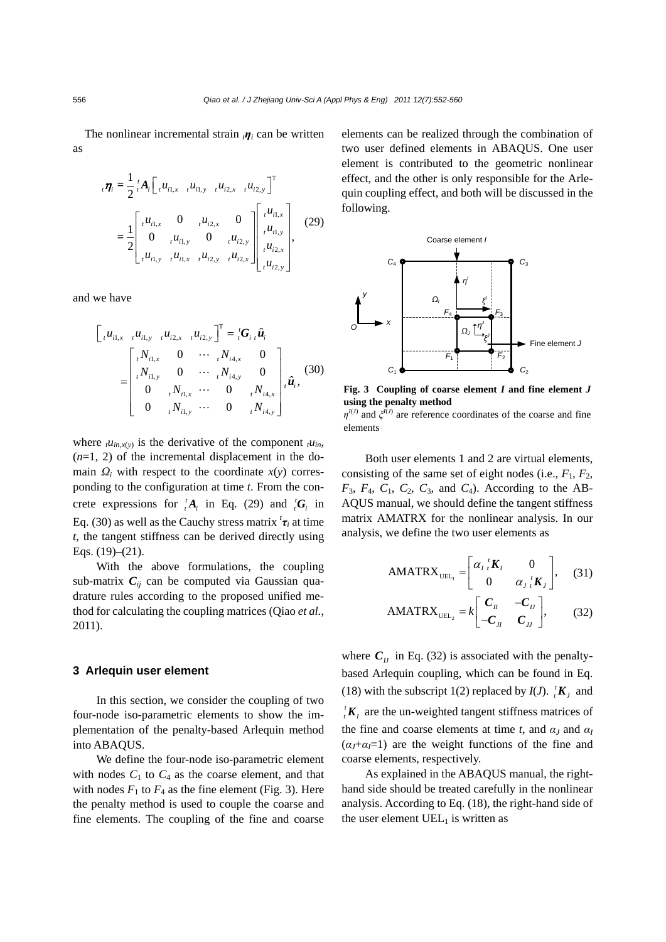The nonlinear incremental strain  $<sub>i</sub>n<sub>i</sub>$  can be written</sub> as

$$
{}_{i}\boldsymbol{\eta}_{i} = \frac{1}{2} {}_{i}^{t} A_{i} \begin{bmatrix} u_{i1,x} & u_{i1,y} & u_{i2,x} & u_{i2,y} \end{bmatrix}^{T}
$$
  

$$
= \frac{1}{2} \begin{bmatrix} u_{i1,x} & 0 & u_{i2,x} & 0 \\ 0 & u_{i1,y} & 0 & u_{i2,y} \end{bmatrix} \begin{bmatrix} u_{i1,x} \\ u_{i1,y} \\ u_{i2,x} \end{bmatrix}
$$
 (29)  

$$
= \frac{1}{2} \begin{bmatrix} u_{i1,x} & 0 & u_{i2,x} \\ u_{i1,y} & u_{i1,x} & u_{i2,y} & u_{i2,x} \end{bmatrix} \begin{bmatrix} u_{i1,x} \\ u_{i2,x} \\ u_{i2,x} \end{bmatrix}
$$

and we have

$$
\begin{bmatrix}\n u_{i1,x} & u_{i1,y} & u_{i2,x} & u_{i2,y}\n\end{bmatrix}^{\text{T}} = \,_{i}{}^{t}\mathbf{G}_{i} \,_{i}{}^{\hat{u}}_{i}
$$
\n
$$
= \begin{bmatrix}\n {}_{i}N_{i1,x} & 0 & \cdots & {}_{i}N_{i4,x} & 0 \\
 {}_{i}N_{i1,y} & 0 & \cdots & {}_{i}N_{i4,y} & 0 \\
 0 & {}_{i}N_{i1,x} & \cdots & 0 & {}_{i}N_{i4,x} \\
 0 & {}_{i}N_{i1,y} & \cdots & 0 & {}_{i}N_{i4,y}\n\end{bmatrix} \,_{i}{}^{\hat{u}}_{i},
$$
\n(30)

where  $t u_{in,x(y)}$  is the derivative of the component  $t u_{in}$ ,  $(n=1, 2)$  of the incremental displacement in the domain  $Q_i$  with respect to the coordinate  $x(y)$  corresponding to the configuration at time *t*. From the concrete expressions for  ${}^{t}_{i}A_{i}$  in Eq. (29) and  ${}^{t}_{i}G_{i}$  in Eq. (30) as well as the Cauchy stress matrix  ${}^{t}\tau_i$  at time *t*, the tangent stiffness can be derived directly using Eqs. (19)–(21).

With the above formulations, the coupling sub-matrix  $C_{ii}$  can be computed via Gaussian quadrature rules according to the proposed unified method for calculating the coupling matrices (Qiao *et al.*, 2011).

#### **3 Arlequin user element**

In this section, we consider the coupling of two four-node iso-parametric elements to show the implementation of the penalty-based Arlequin method into ABAQUS.

We define the four-node iso-parametric element with nodes  $C_1$  to  $C_4$  as the coarse element, and that with nodes  $F_1$  to  $F_4$  as the fine element (Fig. 3). Here the penalty method is used to couple the coarse and fine elements. The coupling of the fine and coarse elements can be realized through the combination of two user defined elements in ABAQUS. One user element is contributed to the geometric nonlinear effect, and the other is only responsible for the Arlequin coupling effect, and both will be discussed in the following.



**Fig. 3 Coupling of coarse element** *I* **and fine element** *J* **using the penalty method** 

 $\eta^{I(J)}$  and  $\zeta^{I(J)}$  are reference coordinates of the coarse and fine elements

Both user elements 1 and 2 are virtual elements, consisting of the same set of eight nodes (i.e.,  $F_1$ ,  $F_2$ ,  $F_3$ ,  $F_4$ ,  $C_1$ ,  $C_2$ ,  $C_3$ , and  $C_4$ ). According to the AB-AQUS manual, we should define the tangent stiffness matrix AMATRX for the nonlinear analysis. In our analysis, we define the two user elements as

$$
AMATRX_{UEL_1} = \begin{bmatrix} \alpha_i \, {}^t \mathbf{K}_I & 0 \\ 0 & \alpha_j \, {}^t \mathbf{K}_j \end{bmatrix}, \quad (31)
$$

$$
AMATRX_{UEL_2} = k \begin{bmatrix} C_{II} & -C_{II} \\ -C_{II} & C_{II} \end{bmatrix}, \qquad (32)
$$

where  $C_{IJ}$  in Eq. (32) is associated with the penaltybased Arlequin coupling, which can be found in Eq. (18) with the subscript 1(2) replaced by  $I(J)$ .  ${}_{i}^{t}K_{j}$  and  $t_i$ **K**<sub>*t*</sub> are the un-weighted tangent stiffness matrices of the fine and coarse elements at time *t*, and  $\alpha$ <sup>*J*</sup> and  $\alpha$ <sup>*I*</sup>  $(a_I + a_I = 1)$  are the weight functions of the fine and coarse elements, respectively.

As explained in the ABAQUS manual, the righthand side should be treated carefully in the nonlinear analysis. According to Eq. (18), the right-hand side of the user element  $UEL_1$  is written as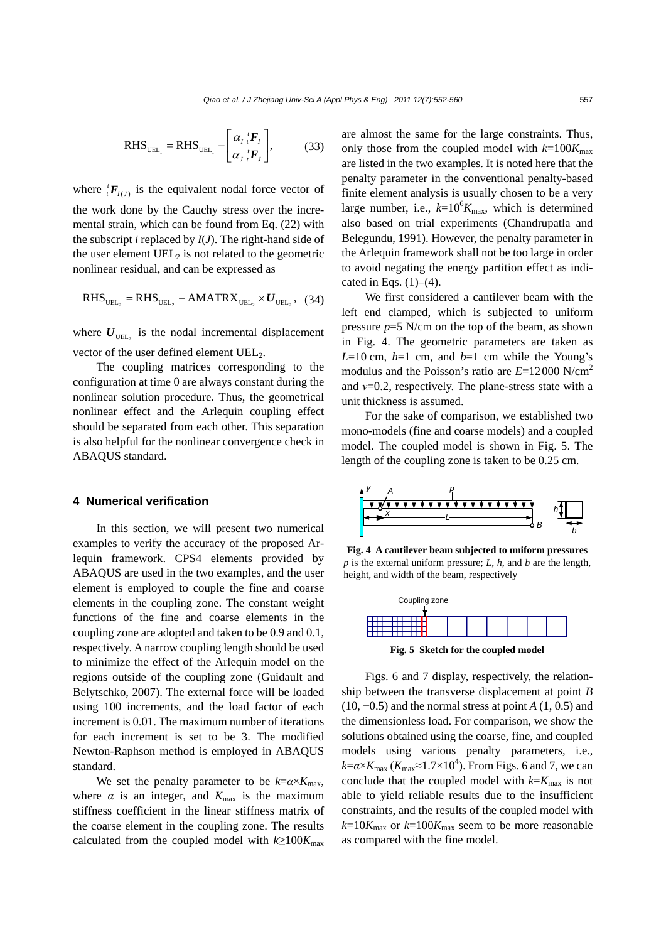RHS<sub>UEL<sub>1</sub></sub> = RHS<sub>UEL<sub>1</sub></sub> - 
$$
\begin{bmatrix} \alpha_I \,^I F_I \\ \alpha_J \,^I F_J \end{bmatrix}
$$
, (33)

where  ${}_{t}^{t}F_{I(J)}$  is the equivalent nodal force vector of the work done by the Cauchy stress over the incremental strain, which can be found from Eq. (22) with the subscript *i* replaced by *I*(*J*). The right-hand side of the user element UEL<sub>2</sub> is not related to the geometric nonlinear residual, and can be expressed as

$$
RHS_{UEL_2} = RHS_{UEL_2} - AMATRX_{UEL_2} \times U_{UEL_2}, (34)
$$

where  $U_{\text{UEL}_2}$  is the nodal incremental displacement vector of the user defined element UEL<sub>2</sub>.

The coupling matrices corresponding to the configuration at time 0 are always constant during the nonlinear solution procedure. Thus, the geometrical nonlinear effect and the Arlequin coupling effect should be separated from each other. This separation is also helpful for the nonlinear convergence check in ABAQUS standard.

#### **4 Numerical verification**

In this section, we will present two numerical examples to verify the accuracy of the proposed Arlequin framework. CPS4 elements provided by ABAQUS are used in the two examples, and the user element is employed to couple the fine and coarse elements in the coupling zone. The constant weight functions of the fine and coarse elements in the coupling zone are adopted and taken to be 0.9 and 0.1, respectively. A narrow coupling length should be used to minimize the effect of the Arlequin model on the regions outside of the coupling zone (Guidault and Belytschko, 2007). The external force will be loaded using 100 increments, and the load factor of each increment is 0.01. The maximum number of iterations for each increment is set to be 3. The modified Newton-Raphson method is employed in ABAQUS standard.

We set the penalty parameter to be  $k = \alpha \times K_{\text{max}}$ , where  $\alpha$  is an integer, and  $K_{\text{max}}$  is the maximum stiffness coefficient in the linear stiffness matrix of the coarse element in the coupling zone. The results calculated from the coupled model with  $k \geq 100K_{\text{max}}$  are almost the same for the large constraints. Thus, only those from the coupled model with  $k=100K_{\text{max}}$ are listed in the two examples. It is noted here that the penalty parameter in the conventional penalty-based finite element analysis is usually chosen to be a very large number, i.e.,  $k=10^6 K_{\text{max}}$ , which is determined also based on trial experiments (Chandrupatla and Belegundu, 1991). However, the penalty parameter in the Arlequin framework shall not be too large in order to avoid negating the energy partition effect as indicated in Eqs.  $(1)$ – $(4)$ .

We first considered a cantilever beam with the left end clamped, which is subjected to uniform pressure  $p=5$  N/cm on the top of the beam, as shown in Fig. 4. The geometric parameters are taken as  $L=10$  cm,  $h=1$  cm, and  $b=1$  cm while the Young's modulus and the Poisson's ratio are *E*=12000 N/cm2 and *ν*=0.2, respectively. The plane-stress state with a unit thickness is assumed.

For the sake of comparison, we established two mono-models (fine and coarse models) and a coupled model. The coupled model is shown in Fig. 5. The length of the coupling zone is taken to be 0.25 cm.



**Fig. 4 A cantilever beam subjected to uniform pressures**  $p$  is the external uniform pressure;  $L$ ,  $h$ , and  $b$  are the length, height, and width of the beam, respectively



**Fig. 5 Sketch for the coupled model**

Figs. 6 and 7 display, respectively, the relationship between the transverse displacement at point *B* (10, −0.5) and the normal stress at point *A* (1, 0.5) and the dimensionless load. For comparison, we show the solutions obtained using the coarse, fine, and coupled models using various penalty parameters, i.e.,  $k = \alpha \times K_{\text{max}} (K_{\text{max}} \approx 1.7 \times 10^4)$ . From Figs. 6 and 7, we can conclude that the coupled model with  $k=K_{\text{max}}$  is not able to yield reliable results due to the insufficient constraints, and the results of the coupled model with  $k=10K_{\text{max}}$  or  $k=100K_{\text{max}}$  seem to be more reasonable as compared with the fine model.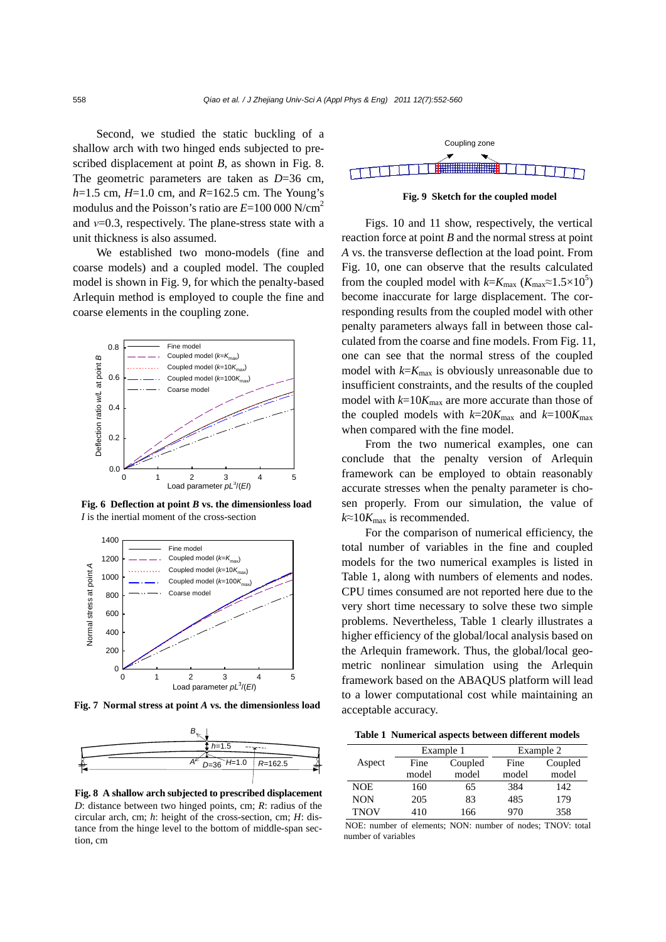Second, we studied the static buckling of a shallow arch with two hinged ends subjected to prescribed displacement at point *B*, as shown in Fig. 8. The geometric parameters are taken as *D*=36 cm, *h*=1.5 cm, *H*=1.0 cm, and *R*=162.5 cm. The Young's modulus and the Poisson's ratio are  $E=100\,000\,\mathrm{N/cm}^2$ and *ν*=0.3, respectively. The plane-stress state with a unit thickness is also assumed.

We established two mono-models (fine and coarse models) and a coupled model. The coupled model is shown in Fig. 9, for which the penalty-based Arlequin method is employed to couple the fine and coarse elements in the coupling zone.



**Fig. 6 Deflection at point** *B* **vs. the dimensionless load**  *I* is the inertial moment of the cross-section



**Fig. 7 Normal stress at point** *A* **vs. the dimensionless load**



**Fig. 8 A shallow arch subjected to prescribed displacement** *D*: distance between two hinged points, cm; *R*: radius of the circular arch, cm; *h*: height of the cross-section, cm; *H*: distance from the hinge level to the bottom of middle-span section, cm



**Fig. 9 Sketch for the coupled model** 

Figs. 10 and 11 show, respectively, the vertical reaction force at point *B* and the normal stress at point *A* vs. the transverse deflection at the load point. From Fig. 10, one can observe that the results calculated from the coupled model with  $k = K_{\text{max}} (K_{\text{max}} \approx 1.5 \times 10^5)$ become inaccurate for large displacement. The corresponding results from the coupled model with other penalty parameters always fall in between those calculated from the coarse and fine models. From Fig. 11, one can see that the normal stress of the coupled model with  $k=K_{\text{max}}$  is obviously unreasonable due to insufficient constraints, and the results of the coupled model with  $k=10K_{\text{max}}$  are more accurate than those of the coupled models with  $k=20K_{\text{max}}$  and  $k=100K_{\text{max}}$ when compared with the fine model.

From the two numerical examples, one can conclude that the penalty version of Arlequin framework can be employed to obtain reasonably accurate stresses when the penalty parameter is chosen properly. From our simulation, the value of  $k \approx 10K_{\text{max}}$  is recommended.

For the comparison of numerical efficiency, the total number of variables in the fine and coupled models for the two numerical examples is listed in Table 1, along with numbers of elements and nodes. CPU times consumed are not reported here due to the very short time necessary to solve these two simple problems. Nevertheless, Table 1 clearly illustrates a higher efficiency of the global/local analysis based on the Arlequin framework. Thus, the global/local geometric nonlinear simulation using the Arlequin framework based on the ABAQUS platform will lead to a lower computational cost while maintaining an acceptable accuracy.

**Table 1 Numerical aspects between different models**

|             | Example 1 |         | Example 2 |         |
|-------------|-----------|---------|-----------|---------|
| Aspect      | Fine      | Coupled | Fine      | Coupled |
|             | model     | model   | model     | model   |
| NOE.        | 160       | 65      | 384       | 142     |
| <b>NON</b>  | 205       | 83      | 485       | 179     |
| <b>TNOV</b> | 410       | 166     | 970       | 358     |

NOE: number of elements; NON: number of nodes; TNOV: total number of variables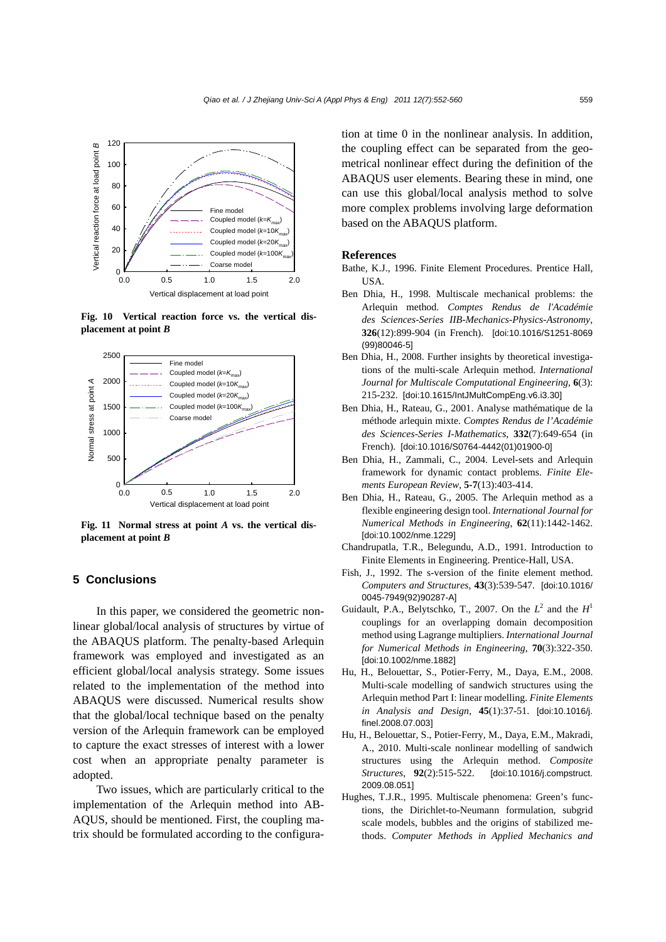

**Fig. 10 Vertical reaction force vs. the vertical displacement at point** *B*



**Fig. 11 Normal stress at point** *A* **vs. the vertical displacement at point** *B*

#### **5 Conclusions**

In this paper, we considered the geometric nonlinear global/local analysis of structures by virtue of the ABAQUS platform. The penalty-based Arlequin framework was employed and investigated as an efficient global/local analysis strategy. Some issues related to the implementation of the method into ABAQUS were discussed. Numerical results show that the global/local technique based on the penalty version of the Arlequin framework can be employed to capture the exact stresses of interest with a lower cost when an appropriate penalty parameter is adopted.

Two issues, which are particularly critical to the implementation of the Arlequin method into AB-AQUS, should be mentioned. First, the coupling matrix should be formulated according to the configuration at time 0 in the nonlinear analysis. In addition, the coupling effect can be separated from the geometrical nonlinear effect during the definition of the ABAQUS user elements. Bearing these in mind, one can use this global/local analysis method to solve more complex problems involving large deformation based on the ABAQUS platform.

#### **References**

- Bathe, K.J., 1996. Finite Element Procedures. Prentice Hall, USA.
- Ben Dhia, H., 1998. Multiscale mechanical problems: the Arlequin method. *Comptes Rendus de l'Académie des Sciences-Series IIB-Mechanics-Physics-Astronomy*, **326**(12):899-904 (in French). [doi:10.1016/S1251-8069 (99)80046-5]
- Ben Dhia, H., 2008. Further insights by theoretical investigations of the multi-scale Arlequin method. *International Journal for Multiscale Computational Engineering*, **6**(3): 215-232. [doi:10.1615/IntJMultCompEng.v6.i3.30]
- Ben Dhia, H., Rateau, G., 2001. Analyse mathématique de la méthode arlequin mixte. *Comptes Rendus de l'Académie des Sciences-Series I-Mathematics*, **332**(7):649-654 (in French). [doi:10.1016/S0764-4442(01)01900-0]
- Ben Dhia, H., Zammali, C., 2004. Level-sets and Arlequin framework for dynamic contact problems. *Finite Elements European Review*, **5-7**(13):403-414.
- Ben Dhia, H., Rateau, G., 2005. The Arlequin method as a flexible engineering design tool. *International Journal for Numerical Methods in Engineering*, **62**(11):1442-1462. [doi:10.1002/nme.1229]
- Chandrupatla, T.R., Belegundu, A.D., 1991. Introduction to Finite Elements in Engineering. Prentice-Hall, USA.
- Fish, J., 1992. The s-version of the finite element method. *Computers and Structures*, **43**(3):539-547. [doi:10.1016/ 0045-7949(92)90287-A]
- Guidault, P.A., Belytschko, T., 2007. On the  $L^2$  and the  $H^1$ couplings for an overlapping domain decomposition method using Lagrange multipliers. *International Journal for Numerical Methods in Engineering*, **70**(3):322-350. [doi:10.1002/nme.1882]
- Hu, H., Belouettar, S., Potier-Ferry, M., Daya, E.M., 2008. Multi-scale modelling of sandwich structures using the Arlequin method Part I: linear modelling. *Finite Elements in Analysis and Design*, **45**(1):37-51. [doi:10.1016/j. finel.2008.07.003]
- Hu, H., Belouettar, S., Potier-Ferry, M., Daya, E.M., Makradi, A., 2010. Multi-scale nonlinear modelling of sandwich structures using the Arlequin method. *Composite Structures*, **92**(2):515-522. [doi:10.1016/j.compstruct. 2009.08.051]
- Hughes, T.J.R., 1995. Multiscale phenomena: Green's functions, the Dirichlet-to-Neumann formulation, subgrid scale models, bubbles and the origins of stabilized methods. *Computer Methods in Applied Mechanics and*